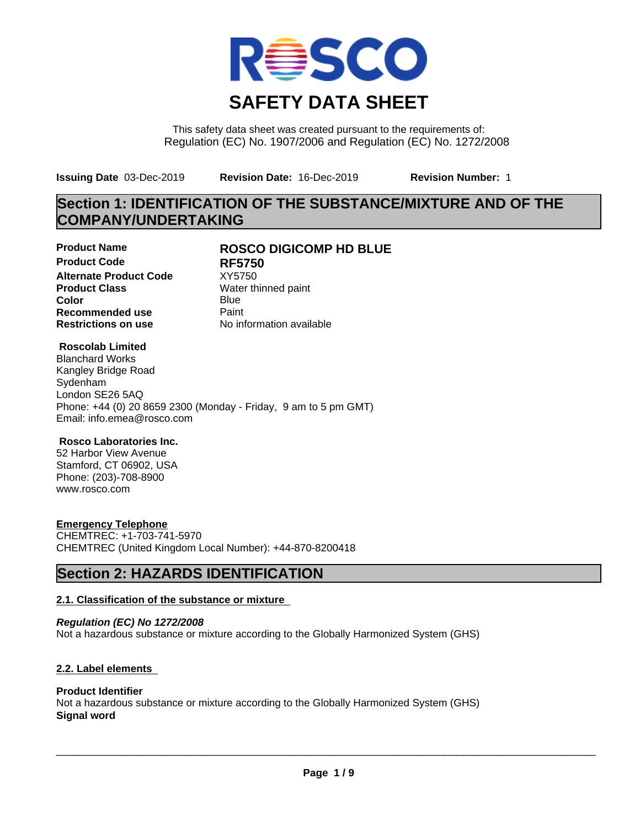

This safety data sheet was created pursuant to the requirements of: Regulation (EC) No. 1907/2006 and Regulation (EC) No. 1272/2008

**Issuing Date** 03-Dec-2019 **Revision Date:** 16-Dec-2019 **Revision Number:** 1

# **Section 1: IDENTIFICATION OF THE SUBSTANCE/MIXTURE AND OF THE COMPANY/UNDERTAKING**

**Product Code RF5750 Alternate Product Code** XY5750<br> **Product Class** Water th **Color** Blue Blue **Recommended use** Paint<br> **Restrictions on use** Mo information available **Restrictions on use** 

### **Product Name ROSCO DIGICOMP HD BLUE**

**Water thinned paint** 

### **Roscolab Limited**

Blanchard Works Kangley Bridge Road Sydenham London SE26 5AQ Phone: +44 (0) 20 8659 2300 (Monday - Friday, 9 am to 5 pm GMT) Email: info.emea@rosco.com

### **Rosco Laboratories Inc.**

52 Harbor View Avenue Stamford, CT 06902, USA Phone: (203)-708-8900 www.rosco.com

### **Emergency Telephone**

CHEMTREC: +1-703-741-5970 CHEMTREC (United Kingdom Local Number): +44-870-8200418

### **Section 2: HAZARDS IDENTIFICATION**

### **2.1. Classification of the substance or mixture**

*Regulation (EC) No 1272/2008* Not a hazardous substance or mixture according to the Globally Harmonized System (GHS)

### **2.2. Label elements**

### **Product Identifier**

Not a hazardous substance or mixture according to the Globally Harmonized System (GHS) **Signal word**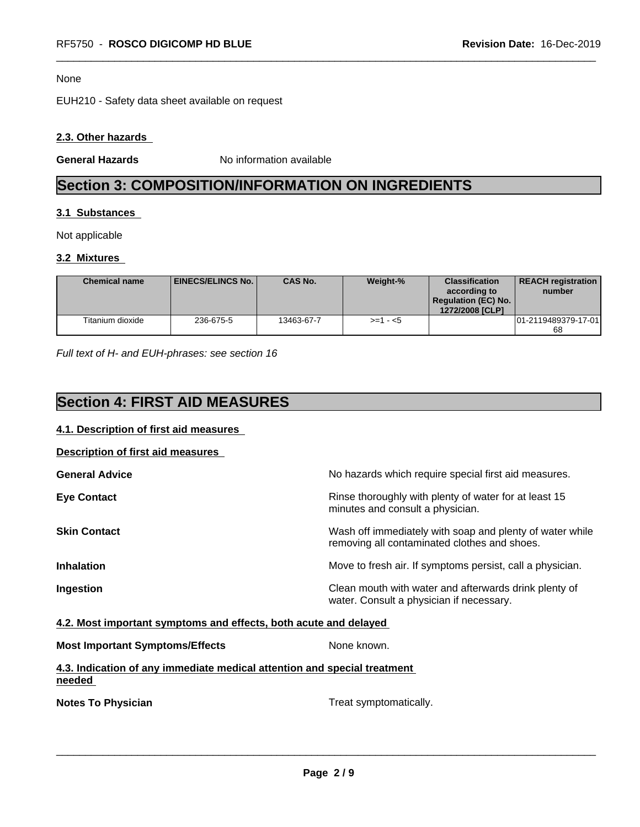### None

EUH210 - Safety data sheet available on request

### **2.3. Other hazards**

**General Hazards** No information available

# **Section 3: COMPOSITION/INFORMATION ON INGREDIENTS**

### **3.1 Substances**

Not applicable

### **3.2 Mixtures**

| <b>Chemical name</b> | EINECS/ELINCS No. | <b>CAS No.</b> | Weight-%   | <b>Classification</b><br>according to<br><b>Regulation (EC) No.</b><br>1272/2008 [CLP] | <b>REACH registration</b><br>number |
|----------------------|-------------------|----------------|------------|----------------------------------------------------------------------------------------|-------------------------------------|
| Titanium dioxide     | 236-675-5         | 13463-67-7     | $>= 1 - 5$ |                                                                                        | 101-2119489379-17-011               |
|                      |                   |                |            |                                                                                        | 68                                  |

*Full text of H- and EUH-phrases: see section 16*

### **Section 4: FIRST AID MEASURES**

# **4.1. Description of first aid measures Description of first aid measures General Advice** No hazards which require special first aid measures. **Eye Contact Exercise 2.1 All 2.5 All 2.5 All 2.6 All 2.6 All 2.6 All 2.6 All 2.6 All 2.6 All 2.6 All 2.6 All 2.6 All 2.6 All 2.6 All 2.6 All 2.6 All 2.6 All 2.6 All 2.6 All 2.6 All 2.6 All 2.6 All 2.6 All 2.6 All 2.6 Al** minutes and consult a physician. **Skin Contact** Mash of immediately with soap and plenty of water while removing all contaminated clothes and shoes. **Inhalation Inhalation Move to fresh air.** If symptoms persist, call a physician. **Ingestion Ingestion Clean mouth with water and afterwards drink plenty of** water. Consult a physician if necessary. **4.2. Most important symptoms and effects, both acute and delayed Most Important Symptoms/Effects** None known. **4.3. Indication of any immediate medical attention and special treatment needed Notes To Physician Treat symptomatically.** Treat symptomatically.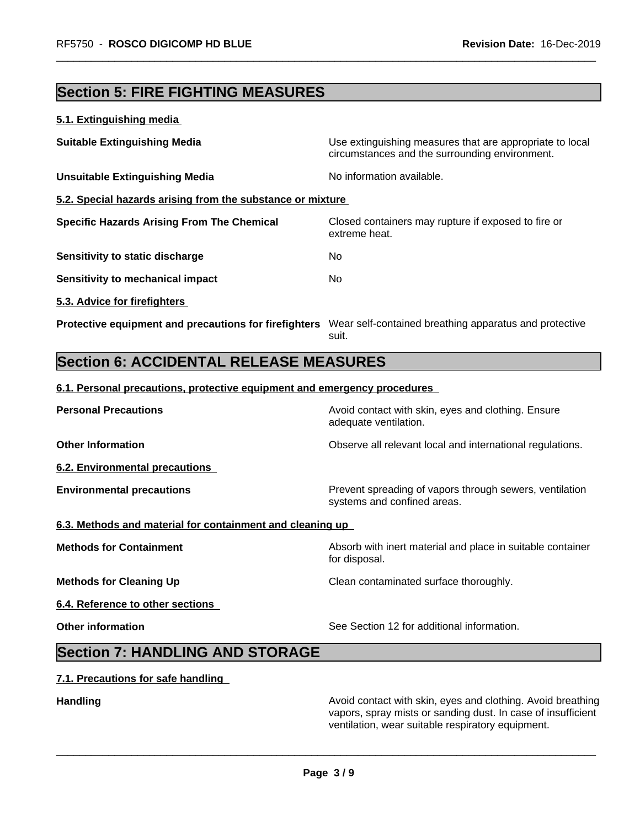# **Section 5: FIRE FIGHTING MEASURES**

| 5.1. Extinguishing media                                   |                                                                                                            |  |
|------------------------------------------------------------|------------------------------------------------------------------------------------------------------------|--|
| <b>Suitable Extinguishing Media</b>                        | Use extinguishing measures that are appropriate to local<br>circumstances and the surrounding environment. |  |
| <b>Unsuitable Extinguishing Media</b>                      | No information available.                                                                                  |  |
| 5.2. Special hazards arising from the substance or mixture |                                                                                                            |  |
| <b>Specific Hazards Arising From The Chemical</b>          | Closed containers may rupture if exposed to fire or<br>extreme heat.                                       |  |
| Sensitivity to static discharge                            | No                                                                                                         |  |
| Sensitivity to mechanical impact                           | No                                                                                                         |  |
| 5.3. Advice for firefighters                               |                                                                                                            |  |
| Protective equipment and precautions for firefighters      | Wear self-contained breathing apparatus and protective<br>suit.                                            |  |

## **Section 6: ACCIDENTAL RELEASE MEASURES**

### **6.1. Personal precautions, protective equipment and emergency procedures**

| <b>Personal Precautions</b>                               | Avoid contact with skin, eyes and clothing. Ensure<br>adequate ventilation.            |  |
|-----------------------------------------------------------|----------------------------------------------------------------------------------------|--|
| <b>Other Information</b>                                  | Observe all relevant local and international regulations.                              |  |
| 6.2. Environmental precautions                            |                                                                                        |  |
| <b>Environmental precautions</b>                          | Prevent spreading of vapors through sewers, ventilation<br>systems and confined areas. |  |
| 6.3. Methods and material for containment and cleaning up |                                                                                        |  |
| <b>Methods for Containment</b>                            | Absorb with inert material and place in suitable container<br>for disposal.            |  |
| <b>Methods for Cleaning Up</b>                            | Clean contaminated surface thoroughly.                                                 |  |
| 6.4. Reference to other sections                          |                                                                                        |  |
| <b>Other information</b>                                  | See Section 12 for additional information.                                             |  |
| <b>Section 7: HANDLING AND STORAGE</b>                    |                                                                                        |  |

### **7.1. Precautions for safe handling**

**Handling Handling Avoid contact with skin, eyes and clothing. Avoid breathing Handling A** vapors, spray mists or sanding dust. In case of insufficient ventilation, wear suitable respiratory equipment.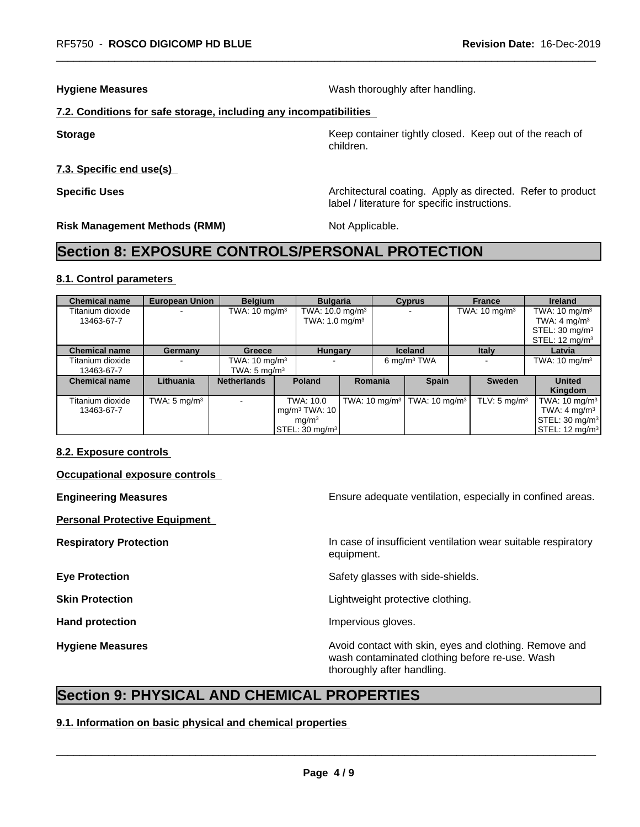**Hygiene Measures** Mash thoroughly after handling.

label / literature for specific instructions.

### **7.2. Conditions for safe storage, including any incompatibilities**

**Storage Keep container tightly closed.** Keep out of the reach of children.

**7.3. Specific end use(s)**

**Specific Uses Architectural coating. Apply as directed. Refer to product Specific Uses** 

**Risk Management Methods (RMM)** Not Applicable.

### **Section 8: EXPOSURE CONTROLS/PERSONAL PROTECTION**

### **8.1. Control parameters**

| <b>Chemical name</b> | <b>European Union</b>   | <b>Belgium</b>           |                             | <b>Bulgaria</b>               |                          | <b>Cyprus</b>            |  | <b>France</b>            | <b>Ireland</b>                      |
|----------------------|-------------------------|--------------------------|-----------------------------|-------------------------------|--------------------------|--------------------------|--|--------------------------|-------------------------------------|
| Titanium dioxide     |                         | TWA: $10 \text{ mg/m}^3$ |                             | TWA: $10.0$ mg/m <sup>3</sup> |                          |                          |  | TWA: $10 \text{ mg/m}^3$ | TWA: $10 \text{ mg/m}^3$            |
| 13463-67-7           |                         |                          |                             | TWA: $1.0 \text{ mg/m}^3$     |                          |                          |  |                          | TWA: $4 \text{ mg/m}^3$             |
|                      |                         |                          |                             |                               |                          |                          |  |                          | STEL: $30 \text{ mg/m}^3$           |
|                      |                         |                          |                             |                               |                          |                          |  |                          | STEL: $12 \text{ mg/m}^3$           |
| <b>Chemical name</b> | Germany                 | Greece                   | <b>Hungary</b>              |                               |                          | <b>Iceland</b>           |  | Italy                    | Latvia                              |
| Titanium dioxide     |                         | TWA: 10 mg/m $^3\,$      |                             |                               |                          | 6 mg/m <sup>3</sup> TWA  |  |                          | TWA: $10 \text{ mg/m}^3$            |
| 13463-67-7           |                         | TWA: $5 \text{ mg/m}^3$  |                             |                               |                          |                          |  |                          |                                     |
| <b>Chemical name</b> | Lithuania               | <b>Netherlands</b>       | <b>Poland</b>               |                               | <b>Romania</b>           | <b>Spain</b>             |  | <b>Sweden</b>            | <b>United</b>                       |
|                      |                         |                          |                             |                               |                          |                          |  |                          | Kingdom                             |
| Titanium dioxide     | TWA: $5 \text{ mg/m}^3$ |                          | TWA: 10.0                   |                               | TWA: $10 \text{ mg/m}^3$ | TWA: $10 \text{ mg/m}^3$ |  | TLV: $5 \text{ mg/m}^3$  | TWA: $10 \text{ mg/m}^3$            |
| 13463-67-7           |                         |                          | mg/m $3$ TWA: 10            |                               |                          |                          |  |                          | TWA: $4 \text{ mg/m}^3$             |
|                      |                         |                          | mq/m <sup>3</sup>           |                               |                          |                          |  |                          | STEL: 30 mg/m $^3\vert$             |
|                      |                         |                          | $ \mathsf{STEL:30~mq/m^3} $ |                               |                          |                          |  |                          | $\textsf{ISTEL: 12}\textsf{mq/m}^3$ |

### **8.2. Exposure controls**

#### **Occupational exposure controls**

**Personal Protective Equipment**

**Engineering Measures Ensure adequate ventilation, especially in confined areas.** 

**Respiratory Protection In case of insufficient ventilation wear suitable respiratory** equipment.

**Eye Protection** Safety glasses with side-shields.

**Skin Protection Skin Protection Lightweight protective clothing.** 

Hand protection **Impervious** gloves.

 $\overline{\phantom{a}}$  ,  $\overline{\phantom{a}}$  ,  $\overline{\phantom{a}}$  ,  $\overline{\phantom{a}}$  ,  $\overline{\phantom{a}}$  ,  $\overline{\phantom{a}}$  ,  $\overline{\phantom{a}}$  ,  $\overline{\phantom{a}}$  ,  $\overline{\phantom{a}}$  ,  $\overline{\phantom{a}}$  ,  $\overline{\phantom{a}}$  ,  $\overline{\phantom{a}}$  ,  $\overline{\phantom{a}}$  ,  $\overline{\phantom{a}}$  ,  $\overline{\phantom{a}}$  ,  $\overline{\phantom{a}}$ 

**Hygiene Measures Avoid contact with skin, eyes and clothing. Remove and Avoid contact with skin, eyes and clothing. Remove and Avoid contact with skin, eyes and clothing. Remove and** wash contaminated clothing before re-use. Wash thoroughly after handling.

### **Section 9: PHYSICAL AND CHEMICAL PROPERTIES**

**9.1. Information on basic physical and chemical properties**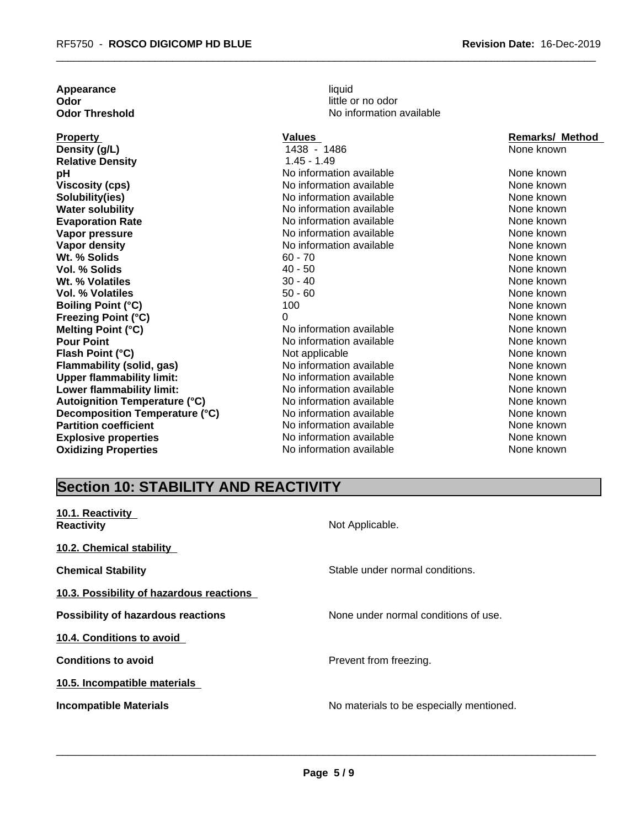| <b>Appearance</b>                    | liquid                   |                        |  |  |  |
|--------------------------------------|--------------------------|------------------------|--|--|--|
| Odor                                 | little or no odor        |                        |  |  |  |
| <b>Odor Threshold</b>                | No information available |                        |  |  |  |
| <b>Property</b>                      | <b>Values</b>            | <b>Remarks/ Method</b> |  |  |  |
| Density (g/L)                        | 1438 - 1486              | None known             |  |  |  |
| <b>Relative Density</b>              | $1.45 - 1.49$            |                        |  |  |  |
| рH                                   | No information available | None known             |  |  |  |
| <b>Viscosity (cps)</b>               | No information available | None known             |  |  |  |
| Solubility(ies)                      | No information available | None known             |  |  |  |
| <b>Water solubility</b>              | No information available | None known             |  |  |  |
| <b>Evaporation Rate</b>              | No information available | None known             |  |  |  |
| Vapor pressure                       | No information available | None known             |  |  |  |
| <b>Vapor density</b>                 | No information available | None known             |  |  |  |
| Wt. % Solids                         | $60 - 70$                | None known             |  |  |  |
| Vol. % Solids                        | $40 - 50$                | None known             |  |  |  |
| Wt. % Volatiles                      | $30 - 40$                | None known             |  |  |  |
| <b>Vol. % Volatiles</b>              | $50 - 60$                | None known             |  |  |  |
| <b>Boiling Point (°C)</b>            | 100                      | None known             |  |  |  |
| Freezing Point (°C)                  | 0                        | None known             |  |  |  |
| Melting Point (°C)                   | No information available | None known             |  |  |  |
| <b>Pour Point</b>                    | No information available | None known             |  |  |  |
| Flash Point (°C)                     | Not applicable           | None known             |  |  |  |
| <b>Flammability (solid, gas)</b>     | No information available | None known             |  |  |  |
| <b>Upper flammability limit:</b>     | No information available | None known             |  |  |  |
| Lower flammability limit:            | No information available | None known             |  |  |  |
| <b>Autoignition Temperature (°C)</b> | No information available | None known             |  |  |  |
| Decomposition Temperature (°C)       | No information available | None known             |  |  |  |
| <b>Partition coefficient</b>         | No information available | None known             |  |  |  |
| <b>Explosive properties</b>          | No information available | None known             |  |  |  |
| <b>Oxidizing Properties</b>          | No information available | None known             |  |  |  |

### **1438 - 1486** None known **Relative Density** 1.45 - 1.49 No information available None known **Viscosity (Viscosity Cone in the internation available None known None known** No information available None known No information available None known **Evaluation Available None known** None known **No information available None known** No information available None known **No information available None known Pour Point Point Available None known** None known **Flash Replicable Mone known Fig. 3** No information available None known **No information available None known LowerFigurer 10 information available None known No information available None known Decomposition No information available None known** No information available None known **Exploring No information available None known No information available None known**

## **Property Values Property Values Remarks/ Method**

# **Section 10: STABILITY AND REACTIVITY**

| 10.1. Reactivity<br><b>Reactivity</b>     | Not Applicable.                          |
|-------------------------------------------|------------------------------------------|
| 10.2. Chemical stability                  |                                          |
| <b>Chemical Stability</b>                 | Stable under normal conditions.          |
| 10.3. Possibility of hazardous reactions  |                                          |
| <b>Possibility of hazardous reactions</b> | None under normal conditions of use.     |
| 10.4. Conditions to avoid                 |                                          |
| <b>Conditions to avoid</b>                | Prevent from freezing.                   |
| 10.5. Incompatible materials              |                                          |
| <b>Incompatible Materials</b>             | No materials to be especially mentioned. |
|                                           |                                          |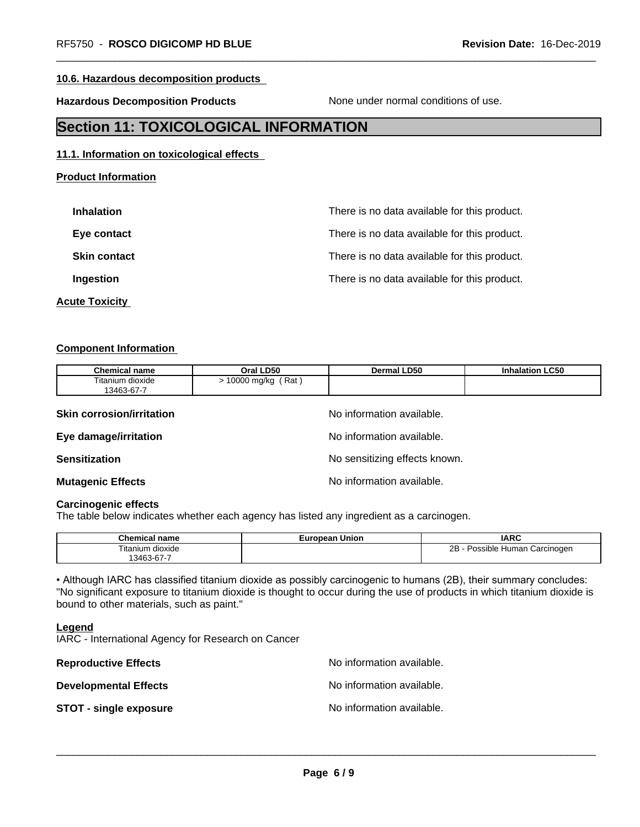#### **10.6. Hazardous decomposition products**

**Hazardous Decomposition Products** None under normal conditions of use.

### **Section 11: TOXICOLOGICAL INFORMATION**

### **11.1. Information on toxicological effects**

| <b>Product Information</b> |
|----------------------------|
|----------------------------|

| <b>Inhalation</b>     | There is no data available for this product. |
|-----------------------|----------------------------------------------|
| Eye contact           | There is no data available for this product. |
| <b>Skin contact</b>   | There is no data available for this product. |
| Ingestion             | There is no data available for this product. |
| <b>Acute Toxicity</b> |                                              |

#### **Component Information**

| <b>Chemical name</b>             | Oral LD50                     | <b>Dermal LD50</b>        | <b>Inhalation LC50</b> |  |  |
|----------------------------------|-------------------------------|---------------------------|------------------------|--|--|
| Titanium dioxide                 | $> 10000$ mg/kg (Rat)         |                           |                        |  |  |
| 13463-67-7                       |                               |                           |                        |  |  |
| <b>Skin corrosion/irritation</b> |                               | No information available. |                        |  |  |
| Eye damage/irritation            | No information available.     |                           |                        |  |  |
| <b>Sensitization</b>             | No sensitizing effects known. |                           |                        |  |  |
| <b>Mutagenic Effects</b>         |                               | No information available. |                        |  |  |

### **Carcinogenic effects**

The table below indicates whether each agency has listed any ingredient as a carcinogen.

| nham.<br>name                                    | -----<br>∣ Union<br>eean<br>—ur∙ | <b>IARC</b>                                              |
|--------------------------------------------------|----------------------------------|----------------------------------------------------------|
| $\sim$<br>litanium<br>dioxide                    |                                  | Carcinogen<br>sible.<br>Human<br>100 <sub>0</sub><br>്ധാ |
| $\overline{\phantom{a}}$<br>13463<br>- 67-67 ن., |                                  |                                                          |

• Although IARC has classified titanium dioxide as possibly carcinogenic to humans (2B), their summary concludes: "No significant exposure to titanium dioxide is thought to occur during the use of products in which titanium dioxide is bound to other materials, such as paint."

#### **Legend**

IARC - International Agency for Research on Cancer

| <b>Reproductive Effects</b>   | No information available. |
|-------------------------------|---------------------------|
| <b>Developmental Effects</b>  | No information available. |
| <b>STOT - single exposure</b> | No information available. |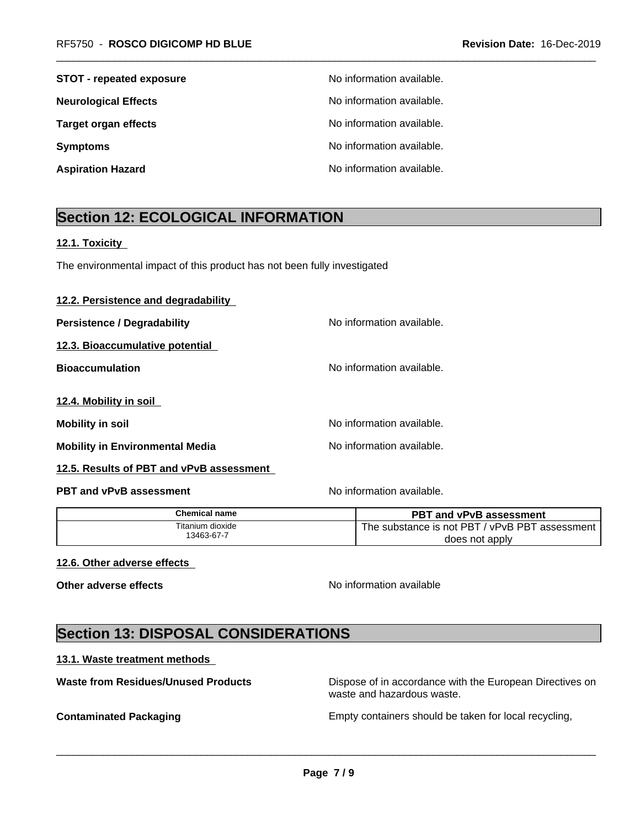| <b>STOT - repeated exposure</b> | No information available. |
|---------------------------------|---------------------------|
| <b>Neurological Effects</b>     | No information available. |
| <b>Target organ effects</b>     | No information available. |
| <b>Symptoms</b>                 | No information available. |
| <b>Aspiration Hazard</b>        | No information available. |

## **Section 12: ECOLOGICAL INFORMATION**

### **12.1. Toxicity**

The environmental impact of this product has not been fully investigated

| 12.2. Persistence and degradability    |                           |
|----------------------------------------|---------------------------|
| <b>Persistence / Degradability</b>     | No information available. |
| 12.3. Bioaccumulative potential        |                           |
| <b>Bioaccumulation</b>                 | No information available. |
| 12.4. Mobility in soil                 |                           |
| <b>Mobility in soil</b>                | No information available. |
| <b>Mobility in Environmental Media</b> | No information available. |
|                                        |                           |

#### **12.5. Results of PBT and vPvB assessment**

**PBT and vPvB assessment**  $\blacksquare$  No information available.

| <b>Chemical name</b> | <b>PBT and vPvB assessment</b>                          |
|----------------------|---------------------------------------------------------|
| Titanium dioxide     | e substance is not PBT / vPvB PBT a<br>assessment<br>he |
| 13463-67-7           | does not apply                                          |

### **12.6. Other adverse effects**

**Other adverse effects** No information available

 $\overline{\phantom{a}}$  ,  $\overline{\phantom{a}}$  ,  $\overline{\phantom{a}}$  ,  $\overline{\phantom{a}}$  ,  $\overline{\phantom{a}}$  ,  $\overline{\phantom{a}}$  ,  $\overline{\phantom{a}}$  ,  $\overline{\phantom{a}}$  ,  $\overline{\phantom{a}}$  ,  $\overline{\phantom{a}}$  ,  $\overline{\phantom{a}}$  ,  $\overline{\phantom{a}}$  ,  $\overline{\phantom{a}}$  ,  $\overline{\phantom{a}}$  ,  $\overline{\phantom{a}}$  ,  $\overline{\phantom{a}}$ 

# **Section 13: DISPOSAL CONSIDERATIONS**

#### **13.1. Waste treatment methods**

**Waste from Residues/Unused Products** Dispose of in accordance with the European Directives on waste and hazardous waste.

**Contaminated Packaging Empty containers should be taken for local recycling,**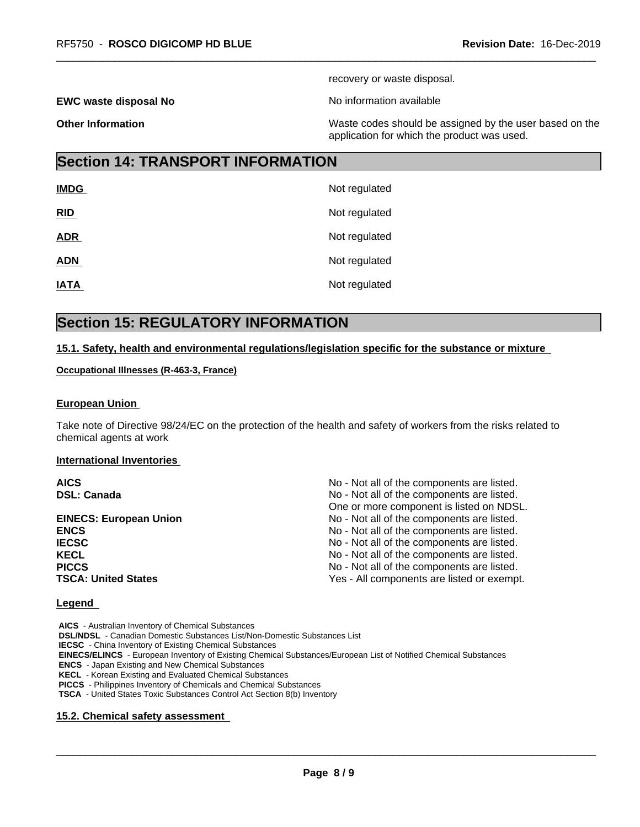recovery or waste disposal.

**EWC waste disposal No** Noinformation available

**Other Information** Waste codes should be assigned by the user based on the application for which the product was used.

### **Section 14: TRANSPORT INFORMATION**

| <b>IMDG</b> | Not regulated |
|-------------|---------------|
| RID         | Not regulated |
| <b>ADR</b>  | Not regulated |
| <b>ADN</b>  | Not regulated |
| <b>IATA</b> | Not regulated |

## **Section 15: REGULATORY INFORMATION**

### **15.1. Safety, health and environmental regulations/legislation specific for the substance or mixture**

### **Occupational Illnesses (R-463-3, France)**

### **European Union**

Take note of Directive 98/24/EC on the protection of the health and safety of workers from the risks related to chemical agents at work

### **International Inventories**

| <b>AICS</b>                   | No - Not all of the components are listed. |
|-------------------------------|--------------------------------------------|
| <b>DSL: Canada</b>            | No - Not all of the components are listed. |
|                               | One or more component is listed on NDSL.   |
| <b>EINECS: European Union</b> | No - Not all of the components are listed. |
| <b>ENCS</b>                   | No - Not all of the components are listed. |
| <b>IECSC</b>                  | No - Not all of the components are listed. |
| <b>KECL</b>                   | No - Not all of the components are listed. |
| <b>PICCS</b>                  | No - Not all of the components are listed. |
| <b>TSCA: United States</b>    | Yes - All components are listed or exempt. |

#### **Legend**

 **AICS** - Australian Inventory of Chemical Substances  **DSL/NDSL** - Canadian Domestic Substances List/Non-Domestic Substances List  **IECSC** - China Inventory of Existing Chemical Substances  **EINECS/ELINCS** - European Inventory of Existing Chemical Substances/European List of Notified Chemical Substances  **ENCS** - Japan Existing and New Chemical Substances  **KECL** - Korean Existing and Evaluated Chemical Substances  **PICCS** - Philippines Inventory of Chemicals and Chemical Substances  **TSCA** - United States Toxic Substances Control Act Section 8(b) Inventory

### **15.2. Chemical safety assessment**